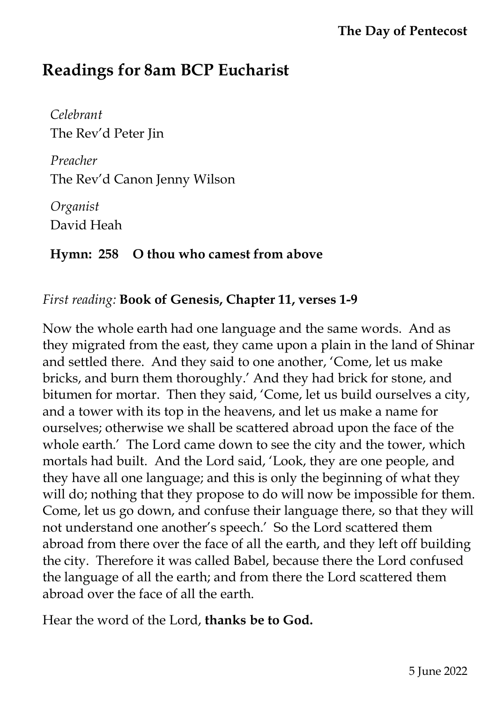# **Readings for 8am BCP Eucharist**

*Celebrant* The Rev'd Peter Jin

*Preacher* The Rev'd Canon Jenny Wilson

*Organist*  David Heah

## **Hymn: 258 O thou who camest from above**

### *First reading:* **Book of Genesis, Chapter 11, verses 1-9**

Now the whole earth had one language and the same words. And as they migrated from the east, they came upon a plain in the land of Shinar and settled there. And they said to one another, 'Come, let us make bricks, and burn them thoroughly.' And they had brick for stone, and bitumen for mortar. Then they said, 'Come, let us build ourselves a city, and a tower with its top in the heavens, and let us make a name for ourselves; otherwise we shall be scattered abroad upon the face of the whole earth.' The Lord came down to see the city and the tower, which mortals had built. And the Lord said, 'Look, they are one people, and they have all one language; and this is only the beginning of what they will do; nothing that they propose to do will now be impossible for them. Come, let us go down, and confuse their language there, so that they will not understand one another's speech.' So the Lord scattered them abroad from there over the face of all the earth, and they left off building the city. Therefore it was called Babel, because there the Lord confused the language of all the earth; and from there the Lord scattered them abroad over the face of all the earth.

Hear the word of the Lord, **thanks be to God.**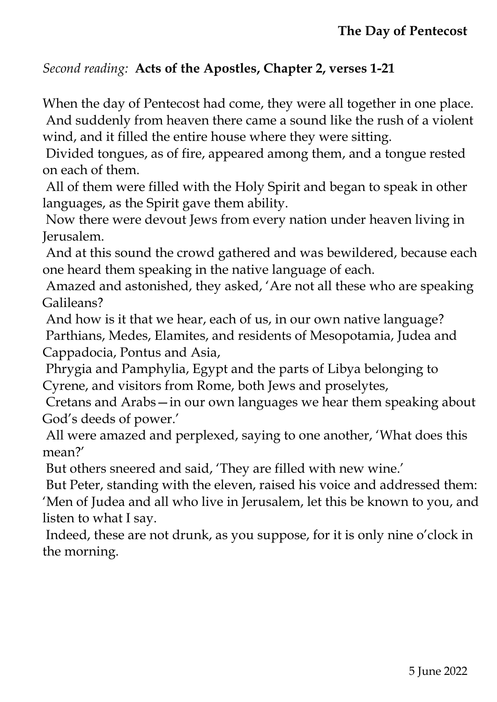#### *Second reading:* **Acts of the Apostles, Chapter 2, verses 1-21**

When the day of Pentecost had come, they were all together in one place. And suddenly from heaven there came a sound like the rush of a violent wind, and it filled the entire house where they were sitting.

Divided tongues, as of fire, appeared among them, and a tongue rested on each of them.

All of them were filled with the Holy Spirit and began to speak in other languages, as the Spirit gave them ability.

Now there were devout Jews from every nation under heaven living in Jerusalem.

And at this sound the crowd gathered and was bewildered, because each one heard them speaking in the native language of each.

Amazed and astonished, they asked, 'Are not all these who are speaking Galileans?

And how is it that we hear, each of us, in our own native language? Parthians, Medes, Elamites, and residents of Mesopotamia, Judea and Cappadocia, Pontus and Asia,

Phrygia and Pamphylia, Egypt and the parts of Libya belonging to Cyrene, and visitors from Rome, both Jews and proselytes,

Cretans and Arabs—in our own languages we hear them speaking about God's deeds of power.'

All were amazed and perplexed, saying to one another, 'What does this mean?'

But others sneered and said, 'They are filled with new wine.'

But Peter, standing with the eleven, raised his voice and addressed them: 'Men of Judea and all who live in Jerusalem, let this be known to you, and listen to what I say.

Indeed, these are not drunk, as you suppose, for it is only nine o'clock in the morning.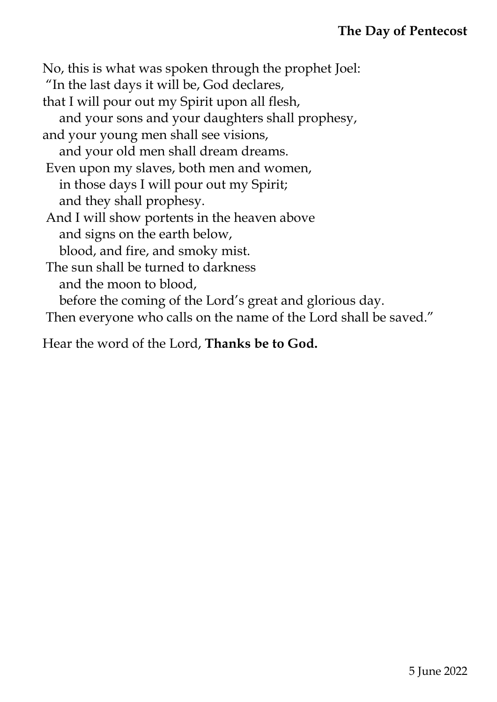No, this is what was spoken through the prophet Joel: "In the last days it will be, God declares, that I will pour out my Spirit upon all flesh, and your sons and your daughters shall prophesy, and your young men shall see visions, and your old men shall dream dreams. Even upon my slaves, both men and women, in those days I will pour out my Spirit; and they shall prophesy. And I will show portents in the heaven above and signs on the earth below, blood, and fire, and smoky mist. The sun shall be turned to darkness and the moon to blood, before the coming of the Lord's great and glorious day. Then everyone who calls on the name of the Lord shall be saved."

Hear the word of the Lord, **Thanks be to God.**